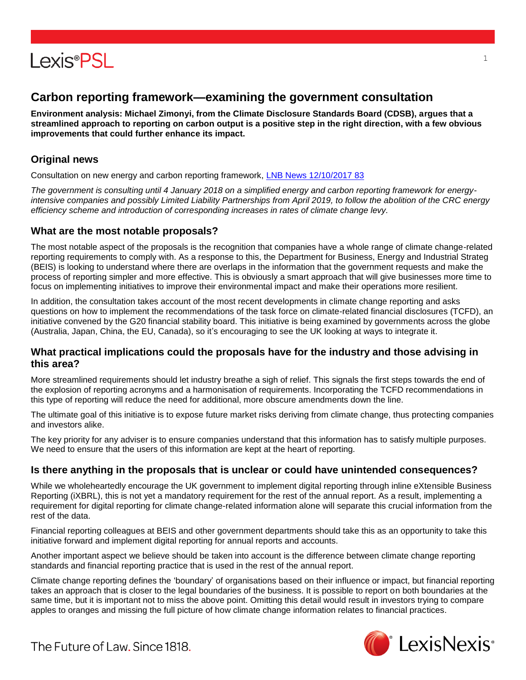

## **Carbon reporting framework—examining the government consultation**

**Environment analysis: Michael Zimonyi, from the Climate Disclosure Standards Board (CDSB), argues that a streamlined approach to reporting on carbon output is a positive step in the right direction, with a few obvious improvements that could further enhance its impact.** 

## **Original news**

Consultation on new energy and carbon reporting framework, [LNB News 12/10/2017 83](https://www.lexisnexis.com/uk/lexispsl/environment/linkHandler.faces?ps=null&bct=A&homeCsi=412012&A=0.5919298430973547&urlEnc=ISO-8859-1&&remotekey1=DIGEST-CITATION(LNB%20News%2012/10/2017%2083)&remotekey2=All%20Subscribed%20Current%20Awareness%20Sources&dpsi=0S4D&cmd=f:exp&service=QUERY&origdpsi=0S4D)

*The government is consulting until 4 January 2018 on a simplified energy and carbon reporting framework for energyintensive companies and possibly Limited Liability Partnerships from April 2019, to follow the abolition of the CRC energy efficiency scheme and introduction of corresponding increases in rates of climate change levy.*

#### **What are the most notable proposals?**

The most notable aspect of the proposals is the recognition that companies have a whole range of climate change-related reporting requirements to comply with. As a response to this, the Department for Business, Energy and Industrial Strateg (BEIS) is looking to understand where there are overlaps in the information that the government requests and make the process of reporting simpler and more effective. This is obviously a smart approach that will give businesses more time to focus on implementing initiatives to improve their environmental impact and make their operations more resilient.

In addition, the consultation takes account of the most recent developments in climate change reporting and asks questions on how to implement the recommendations of the task force on climate-related financial disclosures (TCFD), an initiative convened by the G20 financial stability board. This initiative is being examined by governments across the globe (Australia, Japan, China, the EU, Canada), so it's encouraging to see the UK looking at ways to integrate it.

#### **What practical implications could the proposals have for the industry and those advising in this area?**

More streamlined requirements should let industry breathe a sigh of relief. This signals the first steps towards the end of the explosion of reporting acronyms and a harmonisation of requirements. Incorporating the TCFD recommendations in this type of reporting will reduce the need for additional, more obscure amendments down the line.

The ultimate goal of this initiative is to expose future market risks deriving from climate change, thus protecting companies and investors alike.

The key priority for any adviser is to ensure companies understand that this information has to satisfy multiple purposes. We need to ensure that the users of this information are kept at the heart of reporting.

#### **Is there anything in the proposals that is unclear or could have unintended consequences?**

While we wholeheartedly encourage the UK government to implement digital reporting through inline eXtensible Business Reporting (iXBRL), this is not yet a mandatory requirement for the rest of the annual report. As a result, implementing a requirement for digital reporting for climate change-related information alone will separate this crucial information from the rest of the data.

Financial reporting colleagues at BEIS and other government departments should take this as an opportunity to take this initiative forward and implement digital reporting for annual reports and accounts.

Another important aspect we believe should be taken into account is the difference between climate change reporting standards and financial reporting practice that is used in the rest of the annual report.

Climate change reporting defines the 'boundary' of organisations based on their influence or impact, but financial reporting takes an approach that is closer to the legal boundaries of the business. It is possible to report on both boundaries at the same time, but it is important not to miss the above point. Omitting this detail would result in investors trying to compare apples to oranges and missing the full picture of how climate change information relates to financial practices.



1

The Future of Law, Since 1818.